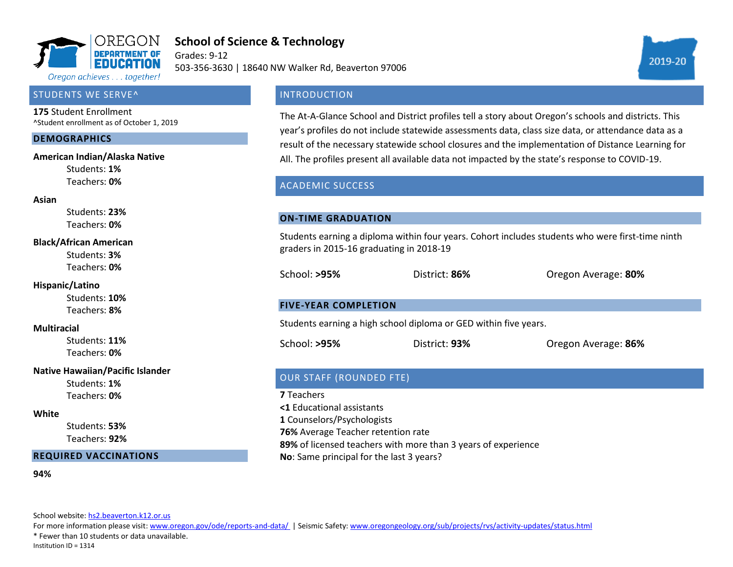

# **School of Science & Technology**

Grades: 9-12 503-356-3630 | 18640 NW Walker Rd, Beaverton 97006

### STUDENTS WE SERVE^

**175** Student Enrollment ^Student enrollment as of October 1, 2019

#### **DEMOGRAPHICS**

#### **American Indian/Alaska Native**

Students: **1%** Teachers: **0%**

#### **Asian**

Students: **23%** Teachers: **0%**

#### **Black/African American**

Students: **3%** Teachers: **0%**

#### **Hispanic/Latino**

Students: **10%** Teachers: **8%**

#### **Multiracial**

Students: **11%** Teachers: **0%**

### **Native Hawaiian/Pacific Islander**

Students: **1%** Teachers: **0%**

#### **White**

Students: **53%** Teachers: **92%**

### **REQUIRED VACCINATIONS**

#### **94%**

School website[: hs2.beaverton.k12.or.us](hs2.beaverton.k12.or.us)

For more information please visit: [www.oregon.gov/ode/reports-and-data/ |](https://www.oregon.gov/ode/reports-and-data/Pages/default.aspx) Seismic Safety[: www.oregongeology.org/sub/projects/rvs/activity-updates/status.html](http://www.oregongeology.org/sub/projects/rvs/activity-updates/status.html)

\* Fewer than 10 students or data unavailable.

Institution ID = 1314

# **INTRODUCTION**

The At-A-Glance School and District profiles tell a story about Oregon's schools and districts. This year's profiles do not include statewide assessments data, class size data, or attendance data as a result of the necessary statewide school closures and the implementation of Distance Learning for All. The profiles present all available data not impacted by the state's response to COVID-19.

## ACADEMIC SUCCESS

### **ON-TIME GRADUATION**

Students earning a diploma within four years. Cohort includes students who were first-time ninth graders in 2015-16 graduating in 2018-19

School: **>95%** District: **86%** Oregon Average: **80%**

### **FIVE-YEAR COMPLETION**

Students earning a high school diploma or GED within five years.

School: **>95%** District: **93%** Oregon Average: **86%**

# OUR STAFF (ROUNDED FTE)

**7** Teachers

**<1** Educational assistants

**1** Counselors/Psychologists

**76%** Average Teacher retention rate

**89%** of licensed teachers with more than 3 years of experience

**No**: Same principal for the last 3 years?